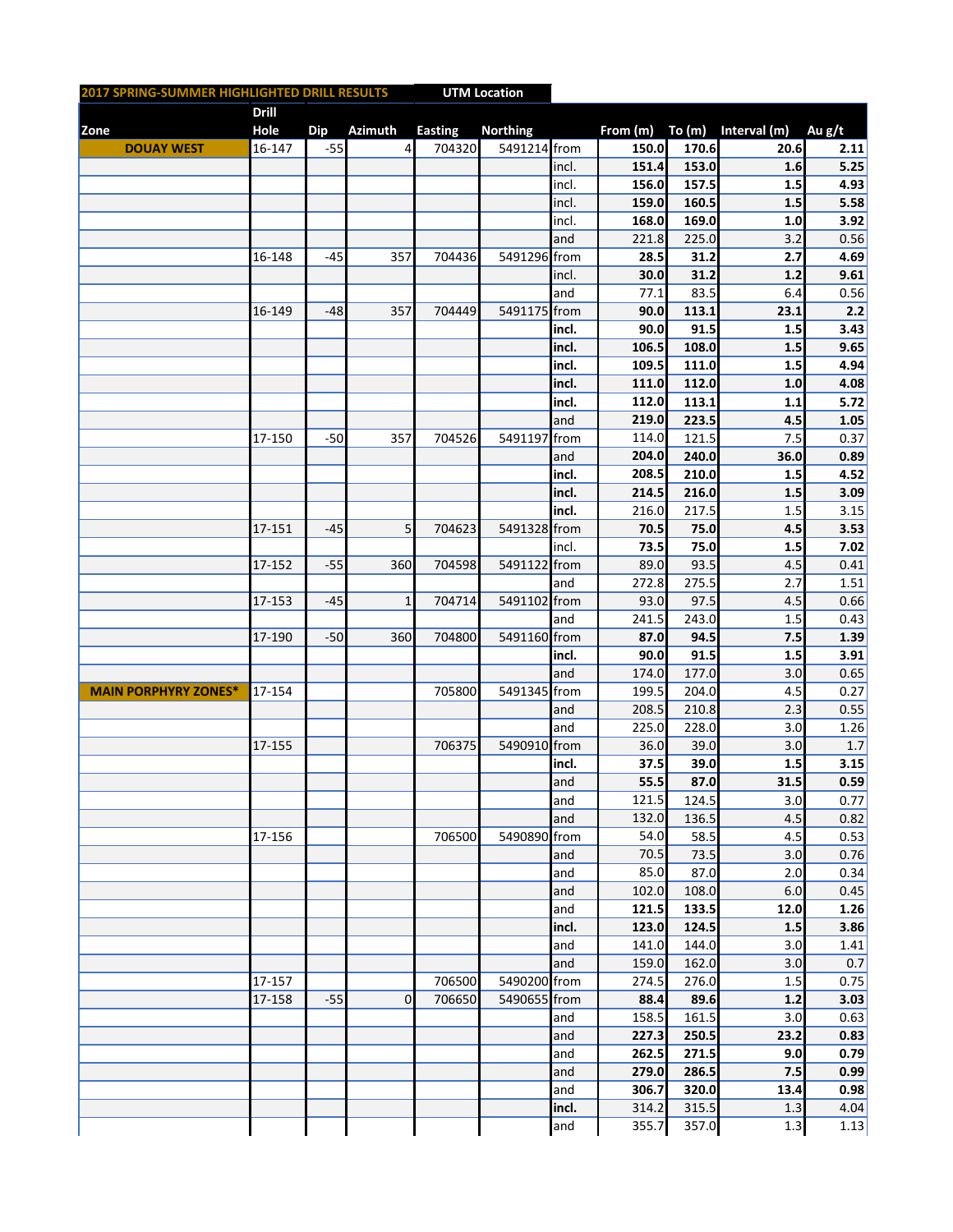|             | 2017 SPRING-SUMMER HIGHLIGHTED DRILL RESULTS<br><b>UTM Location</b> |              |            |                |                |                 |       |                     |       |              |        |
|-------------|---------------------------------------------------------------------|--------------|------------|----------------|----------------|-----------------|-------|---------------------|-------|--------------|--------|
|             |                                                                     | <b>Drill</b> |            |                |                |                 |       |                     |       |              |        |
| <b>Zone</b> |                                                                     | <b>Hole</b>  | <b>Dip</b> | <b>Azimuth</b> | <b>Easting</b> | <b>Northing</b> |       | From $(m)$ To $(m)$ |       | Interval (m) | Au g/t |
|             | <b>DOUAY WEST</b>                                                   | 16-147       | $-55$      | 4              | 704320         | 5491214 from    |       | 150.0               | 170.6 | 20.6         | 2.11   |
|             |                                                                     |              |            |                |                |                 | incl. | 151.4               | 153.0 | 1.6          | 5.25   |
|             |                                                                     |              |            |                |                |                 | incl. | 156.0               | 157.5 | 1.5          | 4.93   |
|             |                                                                     |              |            |                |                |                 | incl. | 159.0               | 160.5 | 1.5          | 5.58   |
|             |                                                                     |              |            |                |                |                 | incl. | 168.0               | 169.0 | 1.0          | 3.92   |
|             |                                                                     |              |            |                |                |                 |       |                     |       |              |        |
|             |                                                                     |              |            |                |                |                 | and   | 221.8               | 225.0 | 3.2          | 0.56   |
|             |                                                                     | 16-148       | $-45$      | 357            | 704436         | 5491296 from    |       | 28.5                | 31.2  | 2.7          | 4.69   |
|             |                                                                     |              |            |                |                |                 | incl. | 30.0                | 31.2  | 1.2          | 9.61   |
|             |                                                                     |              |            |                |                |                 | and   | 77.1                | 83.5  | 6.4          | 0.56   |
|             |                                                                     | 16-149       | $-48$      | 357            | 704449         | 5491175 from    |       | 90.0                | 113.1 | 23.1         | 2.2    |
|             |                                                                     |              |            |                |                |                 | incl. | 90.0                | 91.5  | 1.5          | 3.43   |
|             |                                                                     |              |            |                |                |                 | incl. | 106.5               | 108.0 | 1.5          | 9.65   |
|             |                                                                     |              |            |                |                |                 | incl. | 109.5               | 111.0 | 1.5          | 4.94   |
|             |                                                                     |              |            |                |                |                 | incl. | 111.0               | 112.0 | 1.0          | 4.08   |
|             |                                                                     |              |            |                |                |                 | incl. | 112.0               | 113.1 | 1.1          | 5.72   |
|             |                                                                     |              |            |                |                |                 | and   | 219.0               | 223.5 | 4.5          | 1.05   |
|             |                                                                     | 17-150       | $-50$      | 357            | 704526         | 5491197 from    |       | 114.0               | 121.5 | 7.5          | 0.37   |
|             |                                                                     |              |            |                |                |                 | and   | 204.0               | 240.0 | 36.0         | 0.89   |
|             |                                                                     |              |            |                |                |                 | incl. | 208.5               | 210.0 | 1.5          | 4.52   |
|             |                                                                     |              |            |                |                |                 |       | 214.5               | 216.0 |              |        |
|             |                                                                     |              |            |                |                |                 | incl. |                     |       | 1.5          | 3.09   |
|             |                                                                     |              |            |                |                |                 | incl. | 216.0               | 217.5 | 1.5          | 3.15   |
|             |                                                                     | 17-151       | $-45$      | 5              | 704623         | 5491328 from    |       | 70.5                | 75.0  | 4.5          | 3.53   |
|             |                                                                     |              |            |                |                |                 | incl. | 73.5                | 75.0  | 1.5          | 7.02   |
|             |                                                                     | 17-152       | $-55$      | 360            | 704598         | 5491122 from    |       | 89.0                | 93.5  | 4.5          | 0.41   |
|             |                                                                     |              |            |                |                |                 | and   | 272.8               | 275.5 | 2.7          | 1.51   |
|             |                                                                     | 17-153       | $-45$      | $\mathbf 1$    | 704714         | 5491102 from    |       | 93.0                | 97.5  | 4.5          | 0.66   |
|             |                                                                     |              |            |                |                |                 | and   | 241.5               | 243.0 | 1.5          | 0.43   |
|             |                                                                     | 17-190       | $-50$      | 360            | 704800         | 5491160 from    |       | 87.0                | 94.5  | 7.5          | 1.39   |
|             |                                                                     |              |            |                |                |                 | incl. | 90.0                | 91.5  | 1.5          | 3.91   |
|             |                                                                     |              |            |                |                |                 | and   | 174.0               | 177.0 | 3.0          | 0.65   |
|             | <b>MAIN PORPHYRY ZONES*</b>                                         | 17-154       |            |                | 705800         | 5491345 from    |       | 199.5               | 204.0 | 4.5          | 0.27   |
|             |                                                                     |              |            |                |                |                 | and   | 208.5               | 210.8 | 2.3          | 0.55   |
|             |                                                                     |              |            |                |                |                 | and   | 225.0               | 228.0 | 3.0          | 1.26   |
|             |                                                                     | 17-155       |            |                | 706375         | 5490910 from    |       | 36.0                | 39.0  | 3.0          | 1.7    |
|             |                                                                     |              |            |                |                |                 | incl. | 37.5                | 39.0  | 1.5          | 3.15   |
|             |                                                                     |              |            |                |                |                 |       |                     |       |              |        |
|             |                                                                     |              |            |                |                |                 | and   | 55.5                | 87.0  | 31.5         | 0.59   |
|             |                                                                     |              |            |                |                |                 | and   | 121.5               | 124.5 | 3.0          | 0.77   |
|             |                                                                     |              |            |                |                |                 | and   | 132.0               | 136.5 | 4.5          | 0.82   |
|             |                                                                     | 17-156       |            |                | 706500         | 5490890 from    |       | 54.0                | 58.5  | 4.5          | 0.53   |
|             |                                                                     |              |            |                |                |                 | and   | 70.5                | 73.5  | 3.0          | 0.76   |
|             |                                                                     |              |            |                |                |                 | and   | 85.0                | 87.0  | 2.0          | 0.34   |
|             |                                                                     |              |            |                |                |                 | and   | 102.0               | 108.0 | 6.0          | 0.45   |
|             |                                                                     |              |            |                |                |                 | and   | 121.5               | 133.5 | 12.0         | 1.26   |
|             |                                                                     |              |            |                |                |                 | incl. | 123.0               | 124.5 | 1.5          | 3.86   |
|             |                                                                     |              |            |                |                |                 | and   | 141.0               | 144.0 | 3.0          | 1.41   |
|             |                                                                     |              |            |                |                |                 | and   | 159.0               | 162.0 | 3.0          | 0.7    |
|             |                                                                     | 17-157       |            |                | 706500         | 5490200 from    |       | 274.5               | 276.0 | 1.5          | 0.75   |
|             |                                                                     | 17-158       | $-55$      | $\overline{0}$ | 706650         | 5490655 from    |       | 88.4                | 89.6  | 1.2          | 3.03   |
|             |                                                                     |              |            |                |                |                 | and   | 158.5               | 161.5 | 3.0          | 0.63   |
|             |                                                                     |              |            |                |                |                 | and   | 227.3               | 250.5 | 23.2         | 0.83   |
|             |                                                                     |              |            |                |                |                 | and   | 262.5               | 271.5 | 9.0          | 0.79   |
|             |                                                                     |              |            |                |                |                 |       | 279.0               |       |              |        |
|             |                                                                     |              |            |                |                |                 | and   |                     | 286.5 | 7.5          | 0.99   |
|             |                                                                     |              |            |                |                |                 | and   | 306.7               | 320.0 | 13.4         | 0.98   |
|             |                                                                     |              |            |                |                |                 | incl. | 314.2               | 315.5 | 1.3          | 4.04   |
|             |                                                                     |              |            |                |                |                 | and   | 355.7               | 357.0 | 1.3          | 1.13   |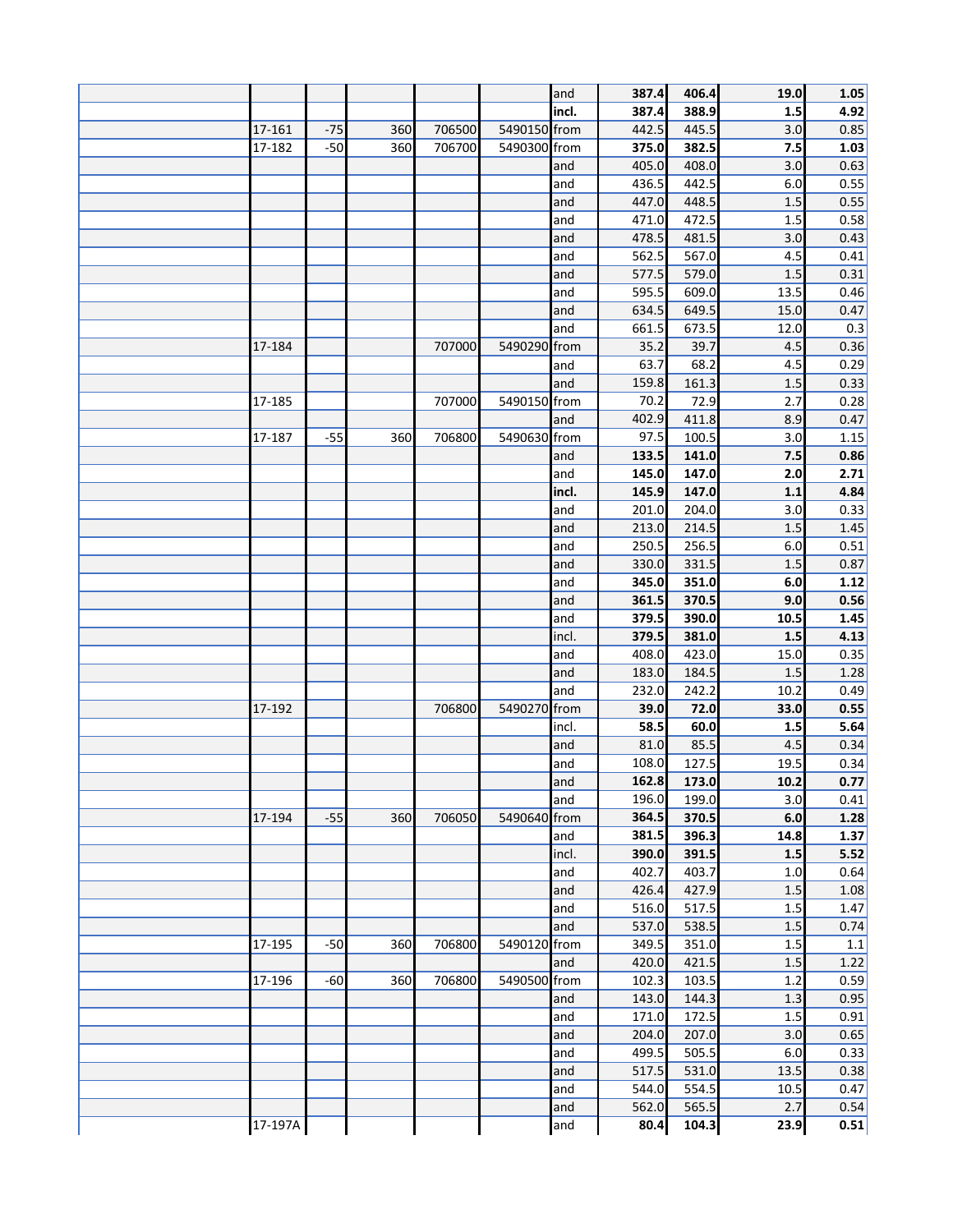|         |       |     |        |              | and   | 387.4 | 406.4 | 19.0 | 1.05    |
|---------|-------|-----|--------|--------------|-------|-------|-------|------|---------|
|         |       |     |        |              | incl. | 387.4 | 388.9 | 1.5  | 4.92    |
| 17-161  | $-75$ | 360 | 706500 | 5490150 from |       | 442.5 | 445.5 | 3.0  | 0.85    |
| 17-182  | $-50$ | 360 | 706700 | 5490300 from |       | 375.0 | 382.5 | 7.5  | 1.03    |
|         |       |     |        |              | and   | 405.0 | 408.0 | 3.0  | 0.63    |
|         |       |     |        |              | and   | 436.5 | 442.5 | 6.0  | 0.55    |
|         |       |     |        |              | and   | 447.0 | 448.5 | 1.5  | 0.55    |
|         |       |     |        |              |       | 471.0 |       |      |         |
|         |       |     |        |              | and   |       | 472.5 | 1.5  | 0.58    |
|         |       |     |        |              | and   | 478.5 | 481.5 | 3.0  | 0.43    |
|         |       |     |        |              | and   | 562.5 | 567.0 | 4.5  | 0.41    |
|         |       |     |        |              | and   | 577.5 | 579.0 | 1.5  | 0.31    |
|         |       |     |        |              | and   | 595.5 | 609.0 | 13.5 | 0.46    |
|         |       |     |        |              | and   | 634.5 | 649.5 | 15.0 | 0.47    |
|         |       |     |        |              | and   | 661.5 | 673.5 | 12.0 | 0.3     |
| 17-184  |       |     | 707000 | 5490290 from |       | 35.2  | 39.7  | 4.5  | 0.36    |
|         |       |     |        |              | and   | 63.7  | 68.2  | 4.5  | 0.29    |
|         |       |     |        |              | and   | 159.8 | 161.3 | 1.5  | 0.33    |
| 17-185  |       |     | 707000 | 5490150 from |       | 70.2  | 72.9  | 2.7  | 0.28    |
|         |       |     |        |              | and   | 402.9 | 411.8 | 8.9  | 0.47    |
| 17-187  | $-55$ | 360 | 706800 | 5490630 from |       | 97.5  | 100.5 | 3.0  | 1.15    |
|         |       |     |        |              | and   | 133.5 | 141.0 | 7.5  | 0.86    |
|         |       |     |        |              | and   | 145.0 | 147.0 | 2.0  | 2.71    |
|         |       |     |        |              | incl. | 145.9 | 147.0 | 1.1  | 4.84    |
|         |       |     |        |              | and   | 201.0 | 204.0 | 3.0  | 0.33    |
|         |       |     |        |              | and   | 213.0 | 214.5 | 1.5  | 1.45    |
|         |       |     |        |              | and   | 250.5 | 256.5 | 6.0  | 0.51    |
|         |       |     |        |              | and   | 330.0 | 331.5 | 1.5  | 0.87    |
|         |       |     |        |              |       |       |       |      |         |
|         |       |     |        |              | and   | 345.0 | 351.0 | 6.0  | 1.12    |
|         |       |     |        |              | and   | 361.5 | 370.5 | 9.0  | 0.56    |
|         |       |     |        |              | and   | 379.5 | 390.0 | 10.5 | 1.45    |
|         |       |     |        |              | incl. | 379.5 | 381.0 | 1.5  | 4.13    |
|         |       |     |        |              | and   | 408.0 | 423.0 | 15.0 | 0.35    |
|         |       |     |        |              | and   | 183.0 | 184.5 | 1.5  | 1.28    |
|         |       |     |        |              | and   | 232.0 | 242.2 | 10.2 | 0.49    |
| 17-192  |       |     | 706800 | 5490270 from |       | 39.0  | 72.0  | 33.0 | 0.55    |
|         |       |     |        |              | incl. | 58.5  | 60.0  | 1.5  | 5.64    |
|         |       |     |        |              | and   | 81.0  | 85.5  | 4.5  | 0.34    |
|         |       |     |        |              | and   | 108.0 | 127.5 | 19.5 | 0.34    |
|         |       |     |        |              | and   | 162.8 | 173.0 | 10.2 | 0.77    |
|         |       |     |        |              | and   | 196.0 | 199.0 | 3.0  | 0.41    |
| 17-194  | $-55$ | 360 | 706050 | 5490640 from |       | 364.5 | 370.5 | 6.0  | 1.28    |
|         |       |     |        |              | land  | 381.5 | 396.3 | 14.8 | 1.37    |
|         |       |     |        |              | incl. | 390.0 | 391.5 | 1.5  | 5.52    |
|         |       |     |        |              | and   | 402.7 | 403.7 | 1.0  | 0.64    |
|         |       |     |        |              | and   | 426.4 | 427.9 | 1.5  | 1.08    |
|         |       |     |        |              | and   | 516.0 | 517.5 | 1.5  | 1.47    |
|         |       |     |        |              | and   | 537.0 | 538.5 | 1.5  | 0.74    |
| 17-195  | $-50$ | 360 | 706800 | 5490120 from |       | 349.5 | 351.0 | 1.5  | $1.1\,$ |
|         |       |     |        |              | and   | 420.0 | 421.5 | 1.5  | 1.22    |
| 17-196  | $-60$ | 360 | 706800 | 5490500 from |       | 102.3 | 103.5 | 1.2  | 0.59    |
|         |       |     |        |              | and   | 143.0 | 144.3 | 1.3  | 0.95    |
|         |       |     |        |              | and   | 171.0 | 172.5 | 1.5  | 0.91    |
|         |       |     |        |              | and   | 204.0 | 207.0 | 3.0  | 0.65    |
|         |       |     |        |              | and   | 499.5 | 505.5 | 6.0  | 0.33    |
|         |       |     |        |              | and   | 517.5 | 531.0 | 13.5 | 0.38    |
|         |       |     |        |              |       | 544.0 | 554.5 |      | 0.47    |
|         |       |     |        |              | and   |       |       | 10.5 |         |
|         |       |     |        |              | and   | 562.0 | 565.5 | 2.7  | 0.54    |
| 17-197A |       |     |        |              | and   | 80.4  | 104.3 | 23.9 | 0.51    |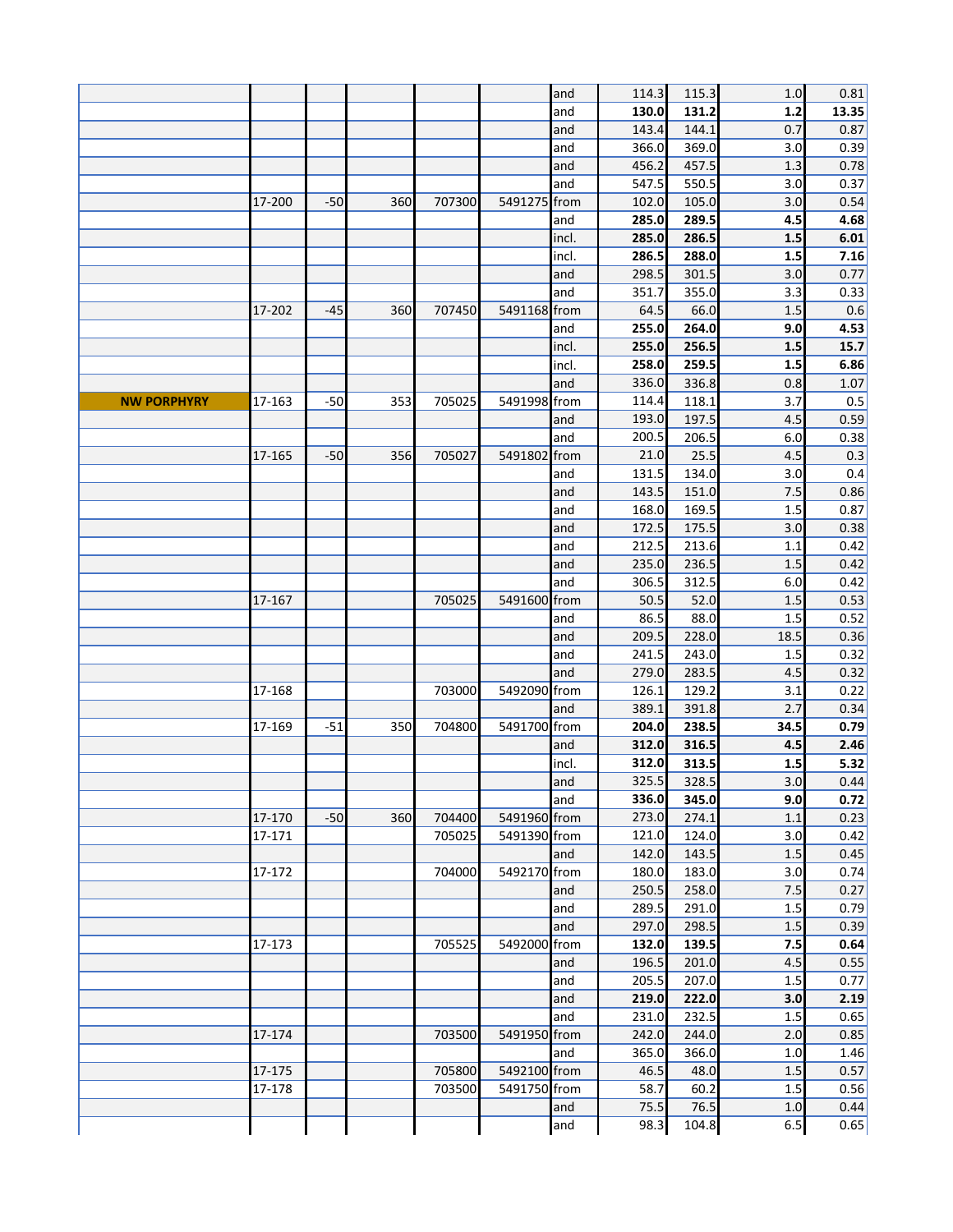|                    |        |       |     |        |              | and   | 114.3 | 115.3 | 1.0  | 0.81  |
|--------------------|--------|-------|-----|--------|--------------|-------|-------|-------|------|-------|
|                    |        |       |     |        |              | and   | 130.0 | 131.2 | 1.2  | 13.35 |
|                    |        |       |     |        |              | and   | 143.4 | 144.1 | 0.7  | 0.87  |
|                    |        |       |     |        |              | and   | 366.0 | 369.0 | 3.0  | 0.39  |
|                    |        |       |     |        |              | and   | 456.2 | 457.5 | 1.3  | 0.78  |
|                    |        |       |     |        |              | and   | 547.5 | 550.5 | 3.0  | 0.37  |
|                    | 17-200 | $-50$ | 360 | 707300 | 5491275 from |       | 102.0 | 105.0 | 3.0  | 0.54  |
|                    |        |       |     |        |              | and   | 285.0 | 289.5 | 4.5  | 4.68  |
|                    |        |       |     |        |              | incl. | 285.0 | 286.5 | 1.5  | 6.01  |
|                    |        |       |     |        |              | incl. | 286.5 | 288.0 | 1.5  | 7.16  |
|                    |        |       |     |        |              | and   | 298.5 | 301.5 | 3.0  | 0.77  |
|                    |        |       |     |        |              | and   | 351.7 | 355.0 | 3.3  | 0.33  |
|                    | 17-202 | $-45$ | 360 | 707450 | 5491168 from |       | 64.5  | 66.0  | 1.5  | 0.6   |
|                    |        |       |     |        |              | and   | 255.0 | 264.0 | 9.0  | 4.53  |
|                    |        |       |     |        |              | incl. | 255.0 | 256.5 | 1.5  | 15.7  |
|                    |        |       |     |        |              | incl. | 258.0 | 259.5 | 1.5  | 6.86  |
|                    |        |       |     |        |              | and   | 336.0 | 336.8 | 0.8  | 1.07  |
| <b>NW PORPHYRY</b> | 17-163 | $-50$ | 353 | 705025 | 5491998 from |       | 114.4 | 118.1 | 3.7  | 0.5   |
|                    |        |       |     |        |              | and   | 193.0 | 197.5 | 4.5  | 0.59  |
|                    |        |       |     |        |              | and   | 200.5 | 206.5 | 6.0  | 0.38  |
|                    | 17-165 | $-50$ | 356 | 705027 | 5491802      | from  | 21.0  | 25.5  | 4.5  | 0.3   |
|                    |        |       |     |        |              | and   | 131.5 | 134.0 | 3.0  | 0.4   |
|                    |        |       |     |        |              | and   | 143.5 | 151.0 | 7.5  | 0.86  |
|                    |        |       |     |        |              | and   | 168.0 | 169.5 | 1.5  | 0.87  |
|                    |        |       |     |        |              | and   | 172.5 | 175.5 | 3.0  | 0.38  |
|                    |        |       |     |        |              | and   | 212.5 | 213.6 | 1.1  | 0.42  |
|                    |        |       |     |        |              | and   | 235.0 | 236.5 | 1.5  | 0.42  |
|                    |        |       |     |        |              | and   | 306.5 | 312.5 | 6.0  | 0.42  |
|                    | 17-167 |       |     | 705025 | 5491600 from |       | 50.5  | 52.0  | 1.5  | 0.53  |
|                    |        |       |     |        |              | and   | 86.5  | 88.0  | 1.5  | 0.52  |
|                    |        |       |     |        |              | and   | 209.5 | 228.0 | 18.5 | 0.36  |
|                    |        |       |     |        |              | and   | 241.5 | 243.0 | 1.5  | 0.32  |
|                    |        |       |     |        |              | and   | 279.0 | 283.5 | 4.5  | 0.32  |
|                    | 17-168 |       |     | 703000 | 5492090 from |       | 126.1 | 129.2 | 3.1  | 0.22  |
|                    |        |       |     |        |              | and   | 389.1 | 391.8 | 2.7  | 0.34  |
|                    | 17-169 | $-51$ | 350 | 704800 | 5491700 from |       | 204.0 | 238.5 | 34.5 | 0.79  |
|                    |        |       |     |        |              | and   | 312.0 | 316.5 | 4.5  | 2.46  |
|                    |        |       |     |        |              | incl. | 312.0 | 313.5 | 1.5  | 5.32  |
|                    |        |       |     |        |              | and   | 325.5 | 328.5 | 3.0  | 0.44  |
|                    |        |       |     |        |              | and   | 336.0 | 345.0 | 9.0  | 0.72  |
|                    | 17-170 | $-50$ | 360 | 704400 | 5491960 from |       | 273.0 | 274.1 | 1.1  | 0.23  |
|                    | 17-171 |       |     | 705025 | 5491390 from |       | 121.0 | 124.0 | 3.0  | 0.42  |
|                    |        |       |     |        |              | and   | 142.0 | 143.5 | 1.5  | 0.45  |
|                    | 17-172 |       |     | 704000 | 5492170 from |       | 180.0 | 183.0 | 3.0  | 0.74  |
|                    |        |       |     |        |              | and   | 250.5 | 258.0 | 7.5  | 0.27  |
|                    |        |       |     |        |              | and   | 289.5 | 291.0 | 1.5  | 0.79  |
|                    |        |       |     |        |              | and   | 297.0 | 298.5 | 1.5  | 0.39  |
|                    | 17-173 |       |     | 705525 | 5492000 from |       | 132.0 | 139.5 | 7.5  | 0.64  |
|                    |        |       |     |        |              | and   | 196.5 | 201.0 | 4.5  | 0.55  |
|                    |        |       |     |        |              | and   | 205.5 | 207.0 | 1.5  | 0.77  |
|                    |        |       |     |        |              | and   | 219.0 | 222.0 | 3.0  | 2.19  |
|                    |        |       |     |        |              | and   | 231.0 | 232.5 | 1.5  | 0.65  |
|                    | 17-174 |       |     | 703500 | 5491950 from |       | 242.0 | 244.0 | 2.0  | 0.85  |
|                    |        |       |     |        |              | and   | 365.0 | 366.0 | 1.0  | 1.46  |
|                    | 17-175 |       |     | 705800 | 5492100 from |       | 46.5  | 48.0  | 1.5  | 0.57  |
|                    | 17-178 |       |     | 703500 | 5491750 from |       | 58.7  | 60.2  | 1.5  | 0.56  |
|                    |        |       |     |        |              | and   | 75.5  | 76.5  | 1.0  | 0.44  |
|                    |        |       |     |        |              | and   | 98.3  | 104.8 | 6.5  | 0.65  |